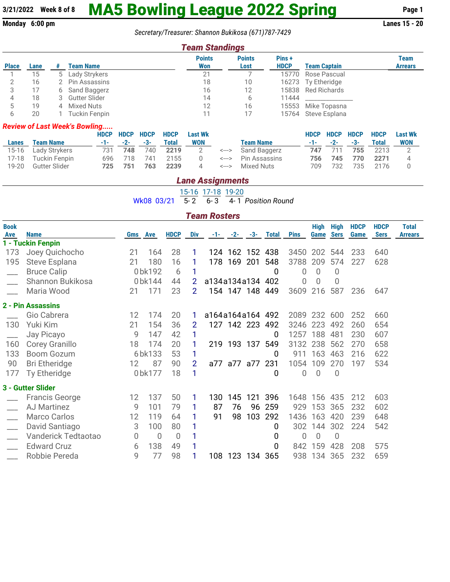## **3/21/2022** Week 8 of 8 **MA5 Bowling League 2022 Spring** Page 1<br>Monday 6:00 pm<br>Lanes 15 - 20

**Monday 6:00 pm** 

*Secretary/Treasurer: Shannon Bukikosa (671)787-7429*

|              |      |   |                  | <b>Team Standings</b> |                       |                       |                     |                               |
|--------------|------|---|------------------|-----------------------|-----------------------|-----------------------|---------------------|-------------------------------|
| <b>Place</b> | Lane |   | <b>Team Name</b> | <b>Points</b><br>Won  | <b>Points</b><br>Lost | Pins +<br><b>HDCP</b> | <b>Team Captain</b> | <b>Team</b><br><b>Arrears</b> |
|              | 15   |   | 5 Lady Strykers  | 21                    |                       | 15770                 | Rose Pascual        |                               |
|              | 16   |   | 2 Pin Assassins  | 18                    | 10                    |                       | 16273 Ty Etheridge  |                               |
|              |      |   | 6 Sand Baggerz   | 16                    | 12                    |                       | 15838 Red Richards  |                               |
|              | 18   |   | 3 Gutter Slider  | 14                    | b                     | 11444                 |                     |                               |
|              | 19   | 4 | Mixed Nuts       | 12                    | 16                    |                       | 15553 Mike Topasna  |                               |
|              | 20   |   | Tuckin Fenpin    |                       |                       |                       | 15764 Steve Esplana |                               |

|  |  | <b>Review of Last Week's Bowling</b> |
|--|--|--------------------------------------|
|  |  |                                      |

|              |                     | HDCP HDCP HDCP       |             | <b>HDCP</b>      | <b>Last Wk</b> |                     | <b>HDCP</b> |         | HDCP HDCP            | <b>HDCP</b>  | <b>Last Wk</b> |
|--------------|---------------------|----------------------|-------------|------------------|----------------|---------------------|-------------|---------|----------------------|--------------|----------------|
| <b>Lanes</b> | <b>Team Name</b>    | $-1$ - $-2$ - $-3$ - |             | Total            | <b>WON</b>     | <b>Team Name</b>    |             |         | $-1$ - $-2$ - $-3$ - | <b>Total</b> | <b>WON</b>     |
|              | 15-16 Lady Strykers |                      |             | 731 748 740 2219 | 2              | <---> Sand Baggerz  |             | 747 711 |                      | 755 2213     |                |
|              | 17-18 Tuckin Fenpin |                      | 696 718 741 | 2155             | $\Omega$       | <---> Pin Assassins |             | 756 745 | 770                  | 2271         |                |
|              | 19-20 Gutter Slider | 725 751              | 763         | 2239             |                | <---> Mixed Nuts    | 709         | 732     | 735                  | 2176         |                |

|  |                   | <b>Lane Assignments</b>               |
|--|-------------------|---------------------------------------|
|  | 15-16 17-18 19-20 |                                       |
|  |                   | Wk08 03/21 5-2 6-3 4-1 Position Round |

|             |                       |     |                |                |                | <b>Team Rosters</b> |             |             |       |             |             |                |             |             |                |
|-------------|-----------------------|-----|----------------|----------------|----------------|---------------------|-------------|-------------|-------|-------------|-------------|----------------|-------------|-------------|----------------|
| <b>Book</b> |                       |     |                |                |                |                     |             |             |       |             | <b>High</b> | <b>High</b>    | <b>HDCP</b> | <b>HDCP</b> | <b>Total</b>   |
| Ave         | <b>Name</b>           | Gms | Ave            | <b>HDCP</b>    | <b>Div</b>     | $-1-$               |             | $-2 - -3 -$ | Total | <b>Pins</b> | Game        | <b>Sers</b>    | <b>Game</b> | <b>Sers</b> | <b>Arrears</b> |
|             | 1 - Tuckin Fenpin     |     |                |                |                |                     |             |             |       |             |             |                |             |             |                |
| 173         | Joey Quichocho        | 21  | 164            | 28             | 1              |                     | 124 162 152 |             | 438   | 3450        | 202         | 544            | 233         | 640         |                |
| 195         | Steve Esplana         | 21  | 180            | 16             | 1              | 178                 | 169         | 201         | 548   | 3788        | 209         | 574            | 227         | 628         |                |
|             | <b>Bruce Calip</b>    |     | 0bk192         | 6              | 1              |                     |             |             | 0     | 0           | $\theta$    | 0              |             |             |                |
|             | Shannon Bukikosa      |     | 0bk144         | 44             | 2              | a134a134a134 402    |             |             |       | 0           | 0           | O              |             |             |                |
|             | Maria Wood            | 21  | 171            | 23             | 2              |                     | 154 147 148 |             | 449   | 3609        | 216         | 587            | 236         | 647         |                |
|             | 2 - Pin Assassins     |     |                |                |                |                     |             |             |       |             |             |                |             |             |                |
|             | Gio Cabrera           | 12  | 174            | 20             |                | a164a164a164 492    |             |             |       | 2089        | 232         | 600            | 252         | 660         |                |
| 130         | Yuki Kim              | 21  | 154            | 36             | 2              |                     | 127 142 223 |             | 492   | 3246        | 223         | 492            | 260         | 654         |                |
|             | Jay Picayo            | 9   | 147            | 42             | 1              |                     |             |             | 0     | 1257        | 188         | 481            | 230         | 607         |                |
| 160         | Corey Granillo        | 18  | 174            | 20             | 1              |                     | 219 193 137 |             | 549   | 3132        | 238         | 562            | 270         | 658         |                |
| 133         | <b>Boom Gozum</b>     |     | 6bk133         | 53             | 1              |                     |             |             | 0     | 911         | 163         | 463            | 216         | 622         |                |
| 90          | <b>Bri Etheridge</b>  | 12  | 87             | 90             | $\overline{2}$ |                     | a77 a77     | a77         | 231   | 1054        | 109         | 270            | 197         | 534         |                |
| 177         | Ty Etheridge          |     | 0bk177         | 18             | 1              |                     |             |             | 0     | 0           | 0           | 0              |             |             |                |
|             | 3 - Gutter Slider     |     |                |                |                |                     |             |             |       |             |             |                |             |             |                |
|             | <b>Francis George</b> | 12  | 137            | 50             |                | 130                 | 145         | 121         | 396   | 1648        | 156         | 435            | 212         | 603         |                |
|             | <b>AJ Martinez</b>    | 9   | 101            | 79             |                | 87                  | 76          | 96          | 259   | 929         | 153         | 365            | 232         | 602         |                |
|             | <b>Marco Carlos</b>   | 12  | 119            | 64             |                | 91                  | 98          | 103         | 292   | 1436        | 163         | 420            | 239         | 648         |                |
|             | David Santiago        | 3   | 100            | 80             | 1              |                     |             |             | 0     | 302         | 144         | 302            | 224         | 542         |                |
|             | Vanderick Tedtaotao   | 0   | $\overline{0}$ | $\overline{0}$ |                |                     |             |             | 0     | 0           | 0           | $\overline{0}$ |             |             |                |
|             | <b>Edward Cruz</b>    | 6   | 138            | 49             |                |                     |             |             | 0     | 842         | 159         | 428            | 208         | 575         |                |
|             | Robbie Pereda         | 9   | 77             | 98             |                |                     | 108 123     | 134 365     |       | 938         | 134         | 365            | 232         | 659         |                |